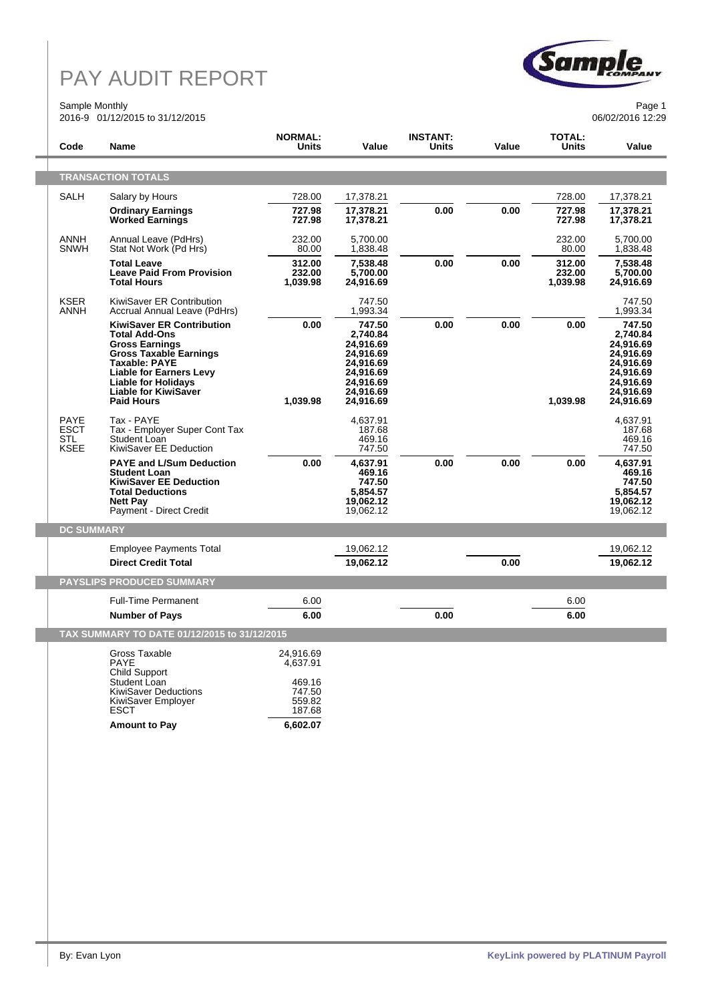#### Sample Monthly 2016-9 01/12/2015 to 31/12/2015



Page 1 06/02/2016 12:29

| Code                                             | Name                                                                                                                                                                                                                                                           | <b>NORMAL:</b><br>Units                                                   | Value                                                                                                         | <b>INSTANT:</b><br>Units | Value | <b>TOTAL:</b><br>Units       | Value                                                                                                         |
|--------------------------------------------------|----------------------------------------------------------------------------------------------------------------------------------------------------------------------------------------------------------------------------------------------------------------|---------------------------------------------------------------------------|---------------------------------------------------------------------------------------------------------------|--------------------------|-------|------------------------------|---------------------------------------------------------------------------------------------------------------|
|                                                  | <b>TRANSACTION TOTALS</b>                                                                                                                                                                                                                                      |                                                                           |                                                                                                               |                          |       |                              |                                                                                                               |
| SALH                                             | Salary by Hours                                                                                                                                                                                                                                                | 728.00                                                                    | 17,378.21                                                                                                     |                          |       | 728.00                       | 17,378.21                                                                                                     |
|                                                  | <b>Ordinary Earnings</b><br><b>Worked Earnings</b>                                                                                                                                                                                                             | 727.98<br>727.98                                                          | 17,378.21<br>17,378.21                                                                                        | 0.00                     | 0.00  | 727.98<br>727.98             | 17,378.21<br>17,378.21                                                                                        |
| ANNH<br><b>SNWH</b>                              | Annual Leave (PdHrs)<br>Stat Not Work (Pd Hrs)                                                                                                                                                                                                                 | 232.00<br>80.00                                                           | 5,700.00<br>1,838.48                                                                                          |                          |       | 232.00<br>80.00              | 5.700.00<br>1,838.48                                                                                          |
|                                                  | <b>Total Leave</b><br><b>Leave Paid From Provision</b><br><b>Total Hours</b>                                                                                                                                                                                   | 312.00<br>232.00<br>1,039.98                                              | 7,538.48<br>5,700.00<br>24,916.69                                                                             | 0.00                     | 0.00  | 312.00<br>232.00<br>1,039.98 | 7,538.48<br>5,700.00<br>24,916.69                                                                             |
| <b>KSER</b><br>ANNH                              | KiwiSaver ER Contribution<br>Accrual Annual Leave (PdHrs)                                                                                                                                                                                                      |                                                                           | 747.50<br>1,993.34                                                                                            |                          |       |                              | 747.50<br>1,993.34                                                                                            |
|                                                  | <b>KiwiSaver ER Contribution</b><br><b>Total Add-Ons</b><br><b>Gross Earnings</b><br><b>Gross Taxable Earnings</b><br><b>Taxable: PAYE</b><br><b>Liable for Earners Levy</b><br><b>Liable for Holidays</b><br><b>Liable for KiwiSaver</b><br><b>Paid Hours</b> | 0.00<br>1,039.98                                                          | 747.50<br>2,740.84<br>24,916.69<br>24,916.69<br>24,916.69<br>24,916.69<br>24,916.69<br>24,916.69<br>24,916.69 | 0.00                     | 0.00  | 0.00<br>1,039.98             | 747.50<br>2,740.84<br>24,916.69<br>24,916.69<br>24,916.69<br>24,916.69<br>24,916.69<br>24,916.69<br>24,916.69 |
| PAYE<br><b>ESCT</b><br><b>STL</b><br><b>KSEE</b> | Tax - PAYE<br>Tax - Employer Super Cont Tax<br>Student Loan<br>KiwiSaver EE Deduction                                                                                                                                                                          |                                                                           | 4,637.91<br>187.68<br>469.16<br>747.50                                                                        |                          |       |                              | 4,637.91<br>187.68<br>469.16<br>747.50                                                                        |
|                                                  | <b>PAYE and L/Sum Deduction</b><br><b>Student Loan</b><br><b>KiwiSaver EE Deduction</b><br><b>Total Deductions</b><br><b>Nett Pay</b><br>Payment - Direct Credit                                                                                               | 0.00                                                                      | 4,637.91<br>469.16<br>747.50<br>5,854.57<br>19,062.12<br>19,062.12                                            | 0.00                     | 0.00  | 0.00                         | 4,637.91<br>469.16<br>747.50<br>5,854.57<br>19,062.12<br>19,062.12                                            |
| <b>DC SUMMARY</b>                                |                                                                                                                                                                                                                                                                |                                                                           |                                                                                                               |                          |       |                              |                                                                                                               |
|                                                  | <b>Employee Payments Total</b><br><b>Direct Credit Total</b>                                                                                                                                                                                                   |                                                                           | 19,062.12<br>19,062.12                                                                                        |                          | 0.00  |                              | 19,062.12<br>19,062.12                                                                                        |
|                                                  | <b>PAYSLIPS PRODUCED SUMMARY</b>                                                                                                                                                                                                                               |                                                                           |                                                                                                               |                          |       |                              |                                                                                                               |
|                                                  | <b>Full-Time Permanent</b>                                                                                                                                                                                                                                     | 6.00                                                                      |                                                                                                               |                          |       | 6.00                         |                                                                                                               |
|                                                  | <b>Number of Pays</b>                                                                                                                                                                                                                                          | 6.00                                                                      |                                                                                                               | 0.00                     |       | 6.00                         |                                                                                                               |
|                                                  | TAX SUMMARY TO DATE 01/12/2015 to 31/12/2015                                                                                                                                                                                                                   |                                                                           |                                                                                                               |                          |       |                              |                                                                                                               |
|                                                  | Gross Taxable<br>PAYE<br>Child Support<br>Student Loan<br><b>KiwiSaver Deductions</b><br>KiwiSaver Employer<br>ESCT<br><b>Amount to Pay</b>                                                                                                                    | 24.916.69<br>4,637.91<br>469.16<br>747.50<br>559.82<br>187.68<br>6,602.07 |                                                                                                               |                          |       |                              |                                                                                                               |
|                                                  |                                                                                                                                                                                                                                                                |                                                                           |                                                                                                               |                          |       |                              |                                                                                                               |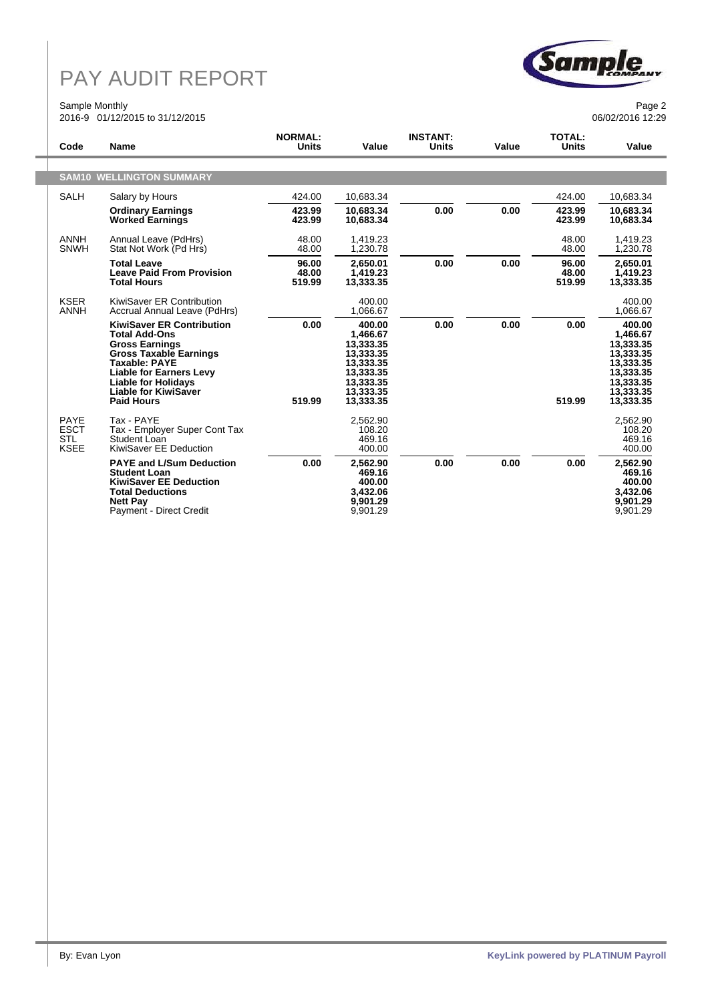### Sample Monthly 2016-9 01/12/2015 to 31/12/2015



Page 2 06/02/2016 12:29

| Code                                                    | <b>Name</b>                                                                                                                                                                                                                                             | <b>NORMAL:</b><br><b>Units</b> | Value                                                                                                         | <b>INSTANT:</b><br><b>Units</b> | Value | <b>TOTAL:</b><br><b>Units</b> | Value                                                                                                         |
|---------------------------------------------------------|---------------------------------------------------------------------------------------------------------------------------------------------------------------------------------------------------------------------------------------------------------|--------------------------------|---------------------------------------------------------------------------------------------------------------|---------------------------------|-------|-------------------------------|---------------------------------------------------------------------------------------------------------------|
|                                                         |                                                                                                                                                                                                                                                         |                                |                                                                                                               |                                 |       |                               |                                                                                                               |
|                                                         | <b>SAM10 WELLINGTON SUMMARY</b>                                                                                                                                                                                                                         |                                |                                                                                                               |                                 |       |                               |                                                                                                               |
| <b>SALH</b>                                             | Salary by Hours                                                                                                                                                                                                                                         | 424.00                         | 10,683.34                                                                                                     |                                 |       | 424.00                        | 10,683.34                                                                                                     |
|                                                         | <b>Ordinary Earnings</b><br><b>Worked Earnings</b>                                                                                                                                                                                                      | 423.99<br>423.99               | 10,683.34<br>10,683.34                                                                                        | 0.00                            | 0.00  | 423.99<br>423.99              | 10,683.34<br>10,683.34                                                                                        |
| <b>ANNH</b><br><b>SNWH</b>                              | Annual Leave (PdHrs)<br>Stat Not Work (Pd Hrs)                                                                                                                                                                                                          | 48.00<br>48.00                 | 1,419.23<br>1,230.78                                                                                          |                                 |       | 48.00<br>48.00                | 1,419.23<br>1,230.78                                                                                          |
|                                                         | <b>Total Leave</b><br><b>Leave Paid From Provision</b><br><b>Total Hours</b>                                                                                                                                                                            | 96.00<br>48.00<br>519.99       | 2,650.01<br>1,419.23<br>13,333.35                                                                             | 0.00                            | 0.00  | 96.00<br>48.00<br>519.99      | 2,650.01<br>1,419.23<br>13,333.35                                                                             |
| <b>KSER</b><br><b>ANNH</b>                              | KiwiSaver ER Contribution<br>Accrual Annual Leave (PdHrs)                                                                                                                                                                                               |                                | 400.00<br>1,066.67                                                                                            |                                 |       |                               | 400.00<br>1,066.67                                                                                            |
|                                                         | <b>KiwiSaver ER Contribution</b><br><b>Total Add-Ons</b><br><b>Gross Earnings</b><br><b>Gross Taxable Earnings</b><br>Taxable: PAYE<br><b>Liable for Earners Levy</b><br><b>Liable for Holidays</b><br><b>Liable for KiwiSaver</b><br><b>Paid Hours</b> | 0.00<br>519.99                 | 400.00<br>1,466.67<br>13,333.35<br>13,333.35<br>13,333.35<br>13,333.35<br>13,333.35<br>13.333.35<br>13,333.35 | 0.00                            | 0.00  | 0.00<br>519.99                | 400.00<br>1,466.67<br>13,333.35<br>13,333.35<br>13,333.35<br>13,333.35<br>13,333.35<br>13,333.35<br>13,333.35 |
| <b>PAYE</b><br><b>ESCT</b><br><b>STL</b><br><b>KSEE</b> | Tax - PAYE<br>Tax - Employer Super Cont Tax<br>Student Loan<br>KiwiSaver EE Deduction                                                                                                                                                                   |                                | 2.562.90<br>108.20<br>469.16<br>400.00                                                                        |                                 |       |                               | 2.562.90<br>108.20<br>469.16<br>400.00                                                                        |
|                                                         | <b>PAYE and L/Sum Deduction</b><br><b>Student Loan</b><br><b>KiwiSaver EE Deduction</b><br><b>Total Deductions</b><br><b>Nett Pay</b><br>Payment - Direct Credit                                                                                        | 0.00                           | 2,562.90<br>469.16<br>400.00<br>3,432.06<br>9,901.29<br>9,901.29                                              | 0.00                            | 0.00  | 0.00                          | 2,562.90<br>469.16<br>400.00<br>3,432.06<br>9,901.29<br>9,901.29                                              |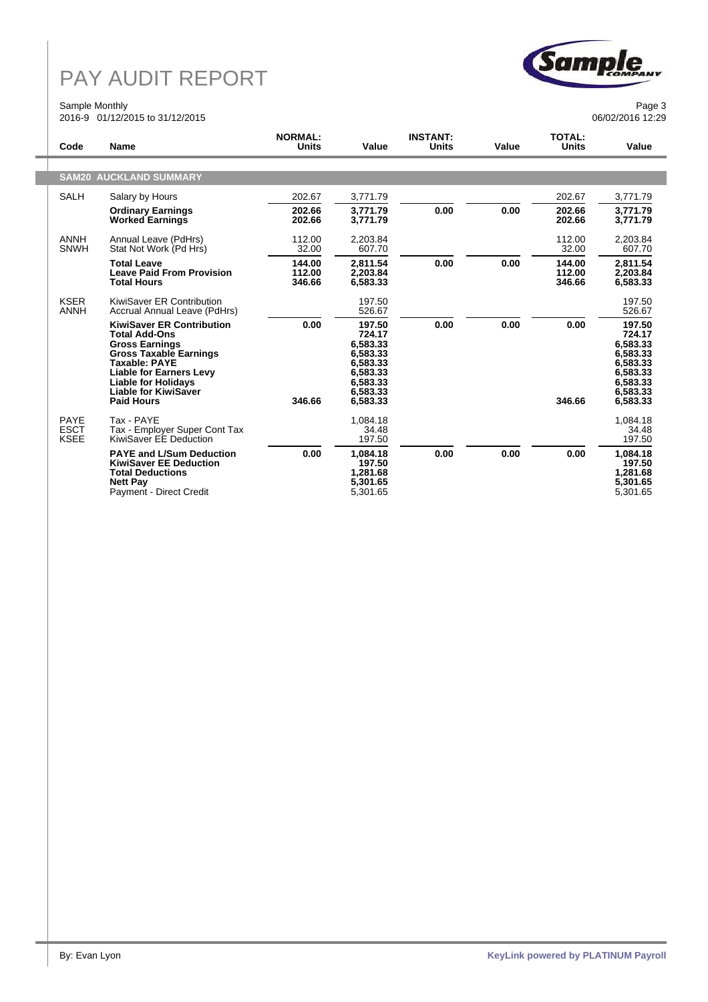### Sample Monthly 2016-9 01/12/2015 to 31/12/2015



Page 3 06/02/2016 12:29

| Code                                      | <b>Name</b>                                                                                                                                                                                                                                             | <b>NORMAL:</b><br>Units    | Value                                                                                                | <b>INSTANT:</b><br>Units | Value | <b>TOTAL:</b><br>Units     | Value                                                                                                |  |
|-------------------------------------------|---------------------------------------------------------------------------------------------------------------------------------------------------------------------------------------------------------------------------------------------------------|----------------------------|------------------------------------------------------------------------------------------------------|--------------------------|-------|----------------------------|------------------------------------------------------------------------------------------------------|--|
|                                           |                                                                                                                                                                                                                                                         |                            |                                                                                                      |                          |       |                            |                                                                                                      |  |
| <b>SAM20 AUCKLAND SUMMARY</b>             |                                                                                                                                                                                                                                                         |                            |                                                                                                      |                          |       |                            |                                                                                                      |  |
| <b>SALH</b>                               | Salary by Hours                                                                                                                                                                                                                                         | 202.67                     | 3,771.79                                                                                             |                          |       | 202.67                     | 3,771.79                                                                                             |  |
|                                           | <b>Ordinary Earnings</b><br><b>Worked Earnings</b>                                                                                                                                                                                                      | 202.66<br>202.66           | 3.771.79<br>3,771.79                                                                                 | 0.00                     | 0.00  | 202.66<br>202.66           | 3.771.79<br>3,771.79                                                                                 |  |
| <b>ANNH</b><br><b>SNWH</b>                | Annual Leave (PdHrs)<br>Stat Not Work (Pd Hrs)                                                                                                                                                                                                          | 112.00<br>32.00            | 2,203.84<br>607.70                                                                                   |                          |       | 112.00<br>32.00            | 2,203.84<br>607.70                                                                                   |  |
|                                           | <b>Total Leave</b><br><b>Leave Paid From Provision</b><br><b>Total Hours</b>                                                                                                                                                                            | 144.00<br>112.00<br>346.66 | 2.811.54<br>2.203.84<br>6,583.33                                                                     | 0.00                     | 0.00  | 144.00<br>112.00<br>346.66 | 2.811.54<br>2.203.84<br>6,583.33                                                                     |  |
| <b>KSER</b><br><b>ANNH</b>                | KiwiSaver ER Contribution<br>Accrual Annual Leave (PdHrs)                                                                                                                                                                                               |                            | 197.50<br>526.67                                                                                     |                          |       |                            | 197.50<br>526.67                                                                                     |  |
|                                           | <b>KiwiSaver ER Contribution</b><br><b>Total Add-Ons</b><br><b>Gross Earnings</b><br><b>Gross Taxable Earnings</b><br>Taxable: PAYE<br><b>Liable for Earners Levy</b><br><b>Liable for Holidays</b><br><b>Liable for KiwiSaver</b><br><b>Paid Hours</b> | 0.00<br>346.66             | 197.50<br>724.17<br>6.583.33<br>6,583.33<br>6,583.33<br>6,583.33<br>6,583.33<br>6,583.33<br>6,583.33 | 0.00                     | 0.00  | 0.00<br>346.66             | 197.50<br>724.17<br>6,583.33<br>6,583.33<br>6,583.33<br>6,583.33<br>6,583.33<br>6,583.33<br>6,583.33 |  |
| <b>PAYE</b><br><b>ESCT</b><br><b>KSEE</b> | Tax - PAYE<br>Tax - Employer Super Cont Tax<br>KiwiSaver EE Deduction                                                                                                                                                                                   |                            | 1.084.18<br>34.48<br>197.50                                                                          |                          |       |                            | 1.084.18<br>34.48<br>197.50                                                                          |  |
|                                           | <b>PAYE and L/Sum Deduction</b><br><b>KiwiSaver EE Deduction</b><br><b>Total Deductions</b><br><b>Nett Pay</b><br>Payment - Direct Credit                                                                                                               | 0.00                       | 1,084.18<br>197.50<br>1,281.68<br>5,301.65<br>5,301.65                                               | 0.00                     | 0.00  | 0.00                       | 1,084.18<br>197.50<br>1,281.68<br>5,301.65<br>5,301.65                                               |  |